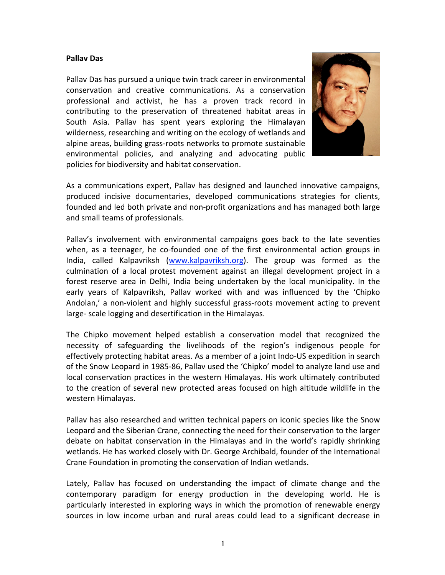## **Pallav Das**

Pallav Das has pursued a unique twin track career in environmental conservation and creative communications. As a conservation professional and activist, he has a proven track record in contributing to the preservation of threatened habitat areas in South Asia. Pallav has spent years exploring the Himalayan wilderness, researching and writing on the ecology of wetlands and alpine areas, building grass-roots networks to promote sustainable environmental policies, and analyzing and advocating public policies for biodiversity and habitat conservation.



As a communications expert, Pallav has designed and launched innovative campaigns, produced incisive documentaries, developed communications strategies for clients, founded and led both private and non-profit organizations and has managed both large and small teams of professionals.

Pallav's involvement with environmental campaigns goes back to the late seventies when, as a teenager, he co-founded one of the first environmental action groups in India, called Kalpavriksh (www.kalpavriksh.org). The group was formed as the culmination of a local protest movement against an illegal development project in a forest reserve area in Delhi, India being undertaken by the local municipality. In the early years of Kalpavriksh, Pallav worked with and was influenced by the 'Chipko Andolan,' a non-violent and highly successful grass-roots movement acting to prevent large- scale logging and desertification in the Himalayas.

The Chipko movement helped establish a conservation model that recognized the necessity of safeguarding the livelihoods of the region's indigenous people for effectively protecting habitat areas. As a member of a joint Indo-US expedition in search of the Snow Leopard in 1985-86, Pallav used the 'Chipko' model to analyze land use and local conservation practices in the western Himalayas. His work ultimately contributed to the creation of several new protected areas focused on high altitude wildlife in the western Himalayas.

Pallav has also researched and written technical papers on iconic species like the Snow Leopard and the Siberian Crane, connecting the need for their conservation to the larger debate on habitat conservation in the Himalayas and in the world's rapidly shrinking wetlands. He has worked closely with Dr. George Archibald, founder of the International Crane Foundation in promoting the conservation of Indian wetlands.

Lately, Pallav has focused on understanding the impact of climate change and the contemporary paradigm for energy production in the developing world. He is particularly interested in exploring ways in which the promotion of renewable energy sources in low income urban and rural areas could lead to a significant decrease in